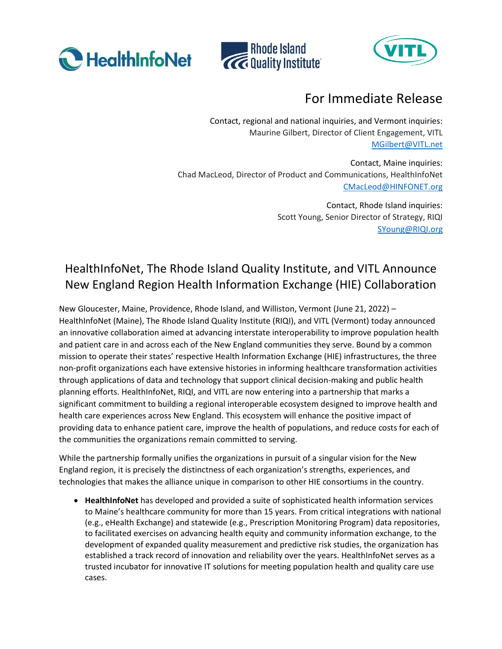





## For Immediate Release

Contact, regional and national inquiries, and Vermont inquiries: Maurine Gilbert, Director of Client Engagement, VITL [MGilbert@VITL.net](mailto:MGilbert@VITL.net)

Contact, Maine inquiries: Chad MacLeod, Director of Product and Communications, HealthInfoNet [CMacLeod@HINFONET.org](mailto:CMacLeod@HINFONET.org)

> Contact, Rhode Island inquiries: Scott Young, Senior Director of Strategy, RIQI [SYoung@RIQI.org](mailto:SYoung@RIQI.org)

## HealthInfoNet, The Rhode Island Quality Institute, and VITL Announce New England Region Health Information Exchange (HIE) Collaboration

New Gloucester, Maine, Providence, Rhode Island, and Williston, Vermont (June 21, 2022) – HealthInfoNet (Maine), The Rhode Island Quality Institute (RIQI), and VITL (Vermont) today announced an innovative collaboration aimed at advancing interstate interoperability to improve population health and patient care in and across each of the New England communities they serve. Bound by a common mission to operate their states' respective Health Information Exchange (HIE) infrastructures, the three non-profit organizations each have extensive histories in informing healthcare transformation activities through applications of data and technology that support clinical decision-making and public health planning efforts. HealthInfoNet, RIQI, and VITL are now entering into a partnership that marks a significant commitment to building a regional interoperable ecosystem designed to improve health and health care experiences across New England. This ecosystem will enhance the positive impact of providing data to enhance patient care, improve the health of populations, and reduce costs for each of the communities the organizations remain committed to serving.

While the partnership formally unifies the organizations in pursuit of a singular vision for the New England region, it is precisely the distinctness of each organization's strengths, experiences, and technologies that makes the alliance unique in comparison to other HIE consortiums in the country.

• **HealthInfoNet** has developed and provided a suite of sophisticated health information services to Maine's healthcare community for more than 15 years. From critical integrations with national (e.g., eHealth Exchange) and statewide (e.g., Prescription Monitoring Program) data repositories, to facilitated exercises on advancing health equity and community information exchange, to the development of expanded quality measurement and predictive risk studies, the organization has established a track record of innovation and reliability over the years. HealthInfoNet serves as a trusted incubator for innovative IT solutions for meeting population health and quality care use cases.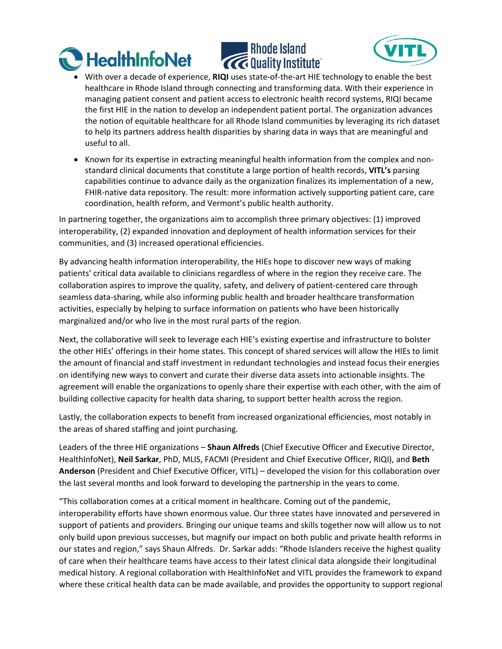





- With over a decade of experience, **RIQI** uses state-of-the-art HIE technology to enable the best healthcare in Rhode Island through connecting and transforming data. With their experience in managing patient consent and patient access to electronic health record systems, RIQI became the first HIE in the nation to develop an independent patient portal. The organization advances the notion of equitable healthcare for all Rhode Island communities by leveraging its rich dataset to help its partners address health disparities by sharing data in ways that are meaningful and useful to all.
- Known for its expertise in extracting meaningful health information from the complex and nonstandard clinical documents that constitute a large portion of health records, **VITL's** parsing capabilities continue to advance daily as the organization finalizes its implementation of a new, FHIR-native data repository. The result: more information actively supporting patient care, care coordination, health reform, and Vermont's public health authority.

In partnering together, the organizations aim to accomplish three primary objectives: (1) improved interoperability, (2) expanded innovation and deployment of health information services for their communities, and (3) increased operational efficiencies.

By advancing health information interoperability, the HIEs hope to discover new ways of making patients' critical data available to clinicians regardless of where in the region they receive care. The collaboration aspires to improve the quality, safety, and delivery of patient-centered care through seamless data-sharing, while also informing public health and broader healthcare transformation activities, especially by helping to surface information on patients who have been historically marginalized and/or who live in the most rural parts of the region.

Next, the collaborative will seek to leverage each HIE's existing expertise and infrastructure to bolster the other HIEs' offerings in their home states. This concept of shared services will allow the HIEs to limit the amount of financial and staff investment in redundant technologies and instead focus their energies on identifying new ways to convert and curate their diverse data assets into actionable insights. The agreement will enable the organizations to openly share their expertise with each other, with the aim of building collective capacity for health data sharing, to support better health across the region.

Lastly, the collaboration expects to benefit from increased organizational efficiencies, most notably in the areas of shared staffing and joint purchasing.

Leaders of the three HIE organizations – **Shaun Alfreds** (Chief Executive Officer and Executive Director, HealthInfoNet), **Neil Sarkar**, PhD, MLIS, FACMI (President and Chief Executive Officer, RIQI), and **Beth Anderson** (President and Chief Executive Officer, VITL) – developed the vision for this collaboration over the last several months and look forward to developing the partnership in the years to come.

"This collaboration comes at a critical moment in healthcare. Coming out of the pandemic, interoperability efforts have shown enormous value. Our three states have innovated and persevered in support of patients and providers. Bringing our unique teams and skills together now will allow us to not only build upon previous successes, but magnify our impact on both public and private health reforms in our states and region," says Shaun Alfreds. Dr. Sarkar adds: "Rhode Islanders receive the highest quality of care when their healthcare teams have access to their latest clinical data alongside their longitudinal medical history. A regional collaboration with HealthInfoNet and VITL provides the framework to expand where these critical health data can be made available, and provides the opportunity to support regional